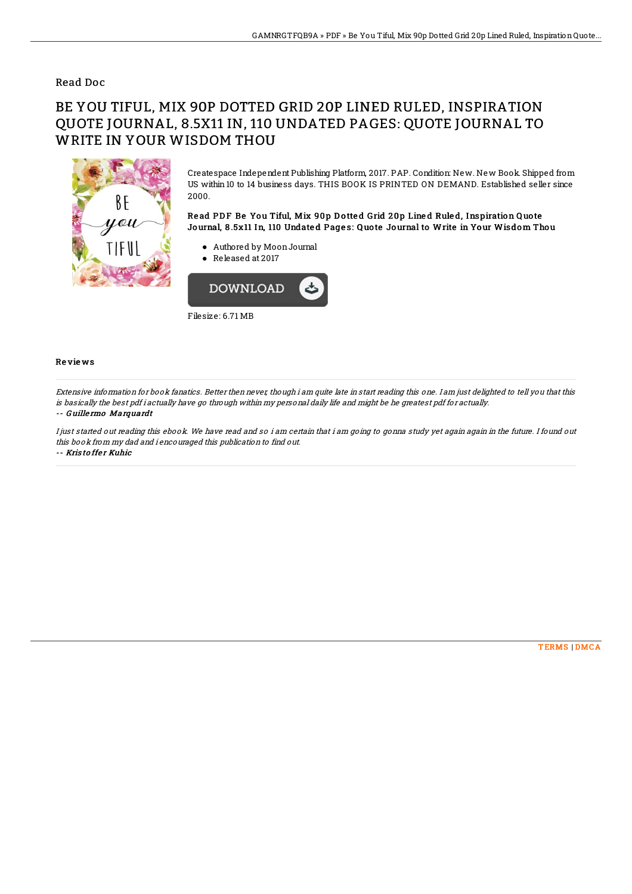### Read Doc

# BE YOU TIFUL, MIX 90P DOTTED GRID 20P LINED RULED, INSPIRATION QUOTE JOURNAL, 8.5X11 IN, 110 UNDATED PAGES: QUOTE JOURNAL TO WRITE IN YOUR WISDOM THOU



Createspace Independent Publishing Platform, 2017. PAP. Condition: New. New Book. Shipped from US within 10 to 14 business days. THIS BOOK IS PRINTED ON DEMAND. Established seller since 2000.

Read PDF Be You Tiful, Mix 90p Dotted Grid 20p Lined Ruled, Inspiration Quote Journal, 8 .5x11 In, 110 Undate d Page s: Q uo te Journal to Write in Your Wisdom Thou

- Authored by MoonJournal
- Released at 2017



#### Re vie ws

Extensive information for book fanatics. Better then never, though i am quite late in start reading this one. I am just delighted to tell you that this is basically the best pdf i actually have go through within my personal daily life and might be he greatest pdf for actually.

#### -- G uille rmo Marquardt

I just started out reading this ebook. We have read and so i am certain that i am going to gonna study yet again again in the future. I found out this book from my dad and i encouraged this publication to find out. -- Kris to ffer Kuhic